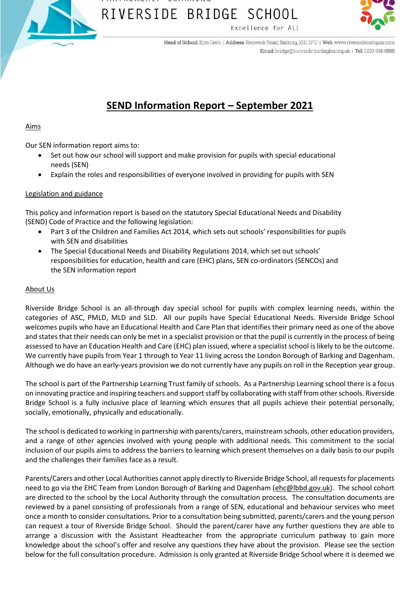



Head of School: Kim Cerri | Address: Renwick Road, Barking, IG11 0FU | Web: www.riversidecampus.com Email: bridge@riverside.bardaglea.org.uk | Tel: 0203 946 5888

### **SEND Information Report – September 2021**

### Aims

Our SEN information report aims to:

- Set out how our school will support and make provision for pupils with special educational needs (SEN)
- Explain the roles and responsibilities of everyone involved in providing for pupils with SEN

### Legislation and guidance

This policy and information report is based on the statutory Special Educational Needs and Disability (SEND) Code of Practice and the following legislation:

- Part 3 of the Children and Families Act 2014, which sets out schools' responsibilities for pupils with SEN and disabilities
- The Special Educational Needs and Disability Regulations 2014, which set out schools' responsibilities for education, health and care (EHC) plans, SEN co-ordinators (SENCOs) and the SEN information report

### About Us

Riverside Bridge School is an all-through day special school for pupils with complex learning needs, within the categories of ASC, PMLD, MLD and SLD. All our pupils have Special Educational Needs. Riverside Bridge School welcomes pupils who have an Educational Health and Care Plan that identifies their primary need as one of the above and states that their needs can only be met in a specialist provision or that the pupil is currently in the process of being assessed to have an Education Health and Care (EHC) plan issued, where a specialist school is likely to be the outcome. We currently have pupils from Year 1 through to Year 11 living across the London Borough of Barking and Dagenham. Although we do have an early-years provision we do not currently have any pupils on roll in the Reception year group.

The school is part of the Partnership Learning Trust family of schools. As a Partnership Learning school there is a focus on innovating practice and inspiring teachers and support staff by collaborating with staff from other schools. Riverside Bridge School is a fully inclusive place of learning which ensures that all pupils achieve their potential personally, socially, emotionally, physically and educationally.

The school is dedicated to working in partnership with parents/carers, mainstream schools, other education providers, and a range of other agencies involved with young people with additional needs. This commitment to the social inclusion of our pupils aims to address the barriers to learning which present themselves on a daily basis to our pupils and the challenges their families face as a result.

Parents/Carers and other Local Authorities cannot apply directly to Riverside Bridge School, all requests for placements need to go via the EHC Team from London Borough of Barking and Dagenham [\(ehc@lbbd.gov.uk\)](mailto:ehc@lbbd.gov.uk). The school cohort are directed to the school by the Local Authority through the consultation process. The consultation documents are reviewed by a panel consisting of professionals from a range of SEN, educational and behaviour services who meet once a month to consider consultations. Prior to a consultation being submitted, parents/carers and the young person can request a tour of Riverside Bridge School. Should the parent/carer have any further questions they are able to arrange a discussion with the Assistant Headteacher from the appropriate curriculum pathway to gain more knowledge about the school's offer and resolve any questions they have about the provision. Please see the section below for the full consultation procedure. Admission is only granted at Riverside Bridge School where it is deemed we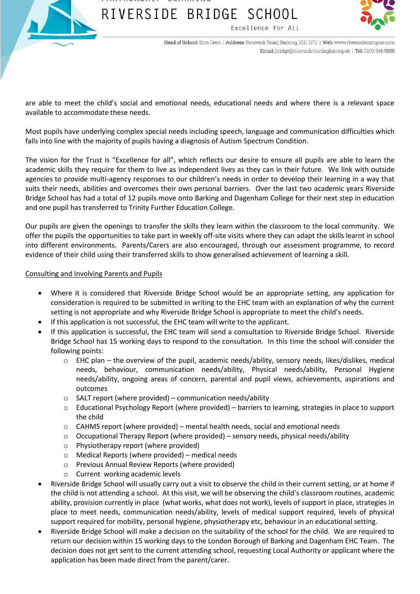



Head of School: Kim Cerri | Address: Renwick Road, Barking, IG11 0FU | Web: www.riversidecampus.com Email: bridge@riverside.bardaglea.org.uk | Tel: 0203 946 5888

are able to meet the child's social and emotional needs, educational needs and where there is a relevant space available to accommodate these needs.

Most pupils have underlying complex special needs including speech, language and communication difficulties which falls into line with the majority of pupils having a diagnosis of Autism Spectrum Condition.

The vision for the Trust is "Excellence for all", which reflects our desire to ensure all pupils are able to learn the academic skills they require for them to live as independent lives as they can in their future. We link with outside agencies to provide multi-agency responses to our children's needs in order to develop their learning in a way that suits their needs, abilities and overcomes their own personal barriers. Over the last two academic years Riverside Bridge School has had a total of 12 pupils move onto Barking and Dagenham College for their next step in education and one pupil has transferred to Trinity Further Education College.

Our pupils are given the openings to transfer the skills they learn within the classroom to the local community. We offer the pupils the opportunities to take part in weekly off-site visits where they can adapt the skills learnt in school into different environments. Parents/Carers are also encouraged, through our assessment programme, to record evidence of their child using their transferred skills to show generalised achievement of learning a skill.

### Consulting and Involving Parents and Pupils

- Where it is considered that Riverside Bridge School would be an appropriate setting, any application for consideration is required to be submitted in writing to the EHC team with an explanation of why the current setting is not appropriate and why Riverside Bridge School is appropriate to meet the child's needs.
- If this application is not successful, the EHC team will write to the applicant.
- If this application is successful, the EHC team will send a consultation to Riverside Bridge School. Riverside Bridge School has 15 working days to respond to the consultation. In this time the school will consider the following points:
	- o EHC plan the overview of the pupil, academic needs/ability, sensory needs, likes/dislikes, medical needs, behaviour, communication needs/ability, Physical needs/ability, Personal Hygiene needs/ability, ongoing areas of concern, parental and pupil views, achievements, aspirations and outcomes
	- o SALT report (where provided) communication needs/ability
	- o Educational Psychology Report (where provided) barriers to learning, strategies in place to support the child
	- o CAHMS report (where provided) mental health needs, social and emotional needs
	- $\circ$  Occupational Therapy Report (where provided) sensory needs, physical needs/ability
	- o Physiotherapy report (where provided)
	- o Medical Reports (where provided) medical needs
	- o Previous Annual Review Reports (where provided)
	- o Current working academic levels
- Riverside Bridge School will usually carry out a visit to observe the child in their current setting, or at home if the child is not attending a school. At this visit, we will be observing the child's classroom routines, academic ability, provision currently in place (what works, what does not work), levels of support in place, strategies in place to meet needs, communication needs/ability, levels of medical support required, levels of physical support required for mobility, personal hygiene, physiotherapy etc, behaviour in an educational setting.
- Riverside Bridge School will make a decision on the suitability of the school for the child. We are required to return our decision within 15 working days to the London Borough of Barking and Dagenham EHC Team. The decision does not get sent to the current attending school, requesting Local Authority or applicant where the application has been made direct from the parent/carer.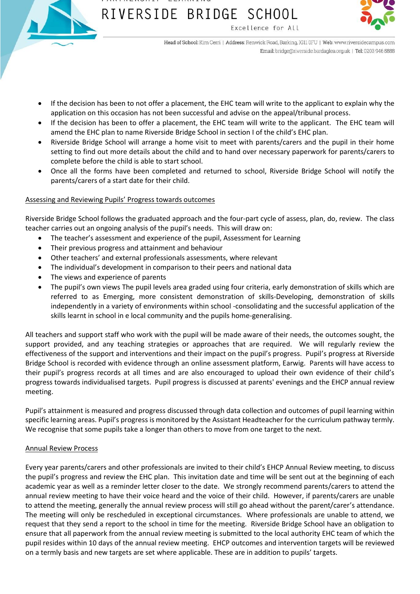



Head of School: Kim Cerri | Address: Renwick Road, Barking, IG11 0FU | Web: www.riversidecampus.com Email: bridge@riverside.bardaglea.org.uk | Tel: 0203 946 5888

- If the decision has been to not offer a placement, the EHC team will write to the applicant to explain why the application on this occasion has not been successful and advise on the appeal/tribunal process.
- If the decision has been to offer a placement, the EHC team will write to the applicant. The EHC team will amend the EHC plan to name Riverside Bridge School in section I of the child's EHC plan.
- Riverside Bridge School will arrange a home visit to meet with parents/carers and the pupil in their home setting to find out more details about the child and to hand over necessary paperwork for parents/carers to complete before the child is able to start school.
- Once all the forms have been completed and returned to school, Riverside Bridge School will notify the parents/carers of a start date for their child.

### Assessing and Reviewing Pupils' Progress towards outcomes

Riverside Bridge School follows the graduated approach and the four-part cycle of assess, plan, do, review. The class teacher carries out an ongoing analysis of the pupil's needs. This will draw on:

- The teacher's assessment and experience of the pupil, Assessment for Learning
- Their previous progress and attainment and behaviour
- Other teachers' and external professionals assessments, where relevant
- The individual's development in comparison to their peers and national data
- The views and experience of parents
- The pupil's own views The pupil levels area graded using four criteria, early demonstration of skills which are referred to as Emerging, more consistent demonstration of skills-Developing, demonstration of skills independently in a variety of environments within school -consolidating and the successful application of the skills learnt in school in e local community and the pupils home-generalising.

All teachers and support staff who work with the pupil will be made aware of their needs, the outcomes sought, the support provided, and any teaching strategies or approaches that are required. We will regularly review the effectiveness of the support and interventions and their impact on the pupil's progress. Pupil's progress at Riverside Bridge School is recorded with evidence through an online assessment platform, Earwig. Parents will have access to their pupil's progress records at all times and are also encouraged to upload their own evidence of their child's progress towards individualised targets. Pupil progress is discussed at parents' evenings and the EHCP annual review meeting.

Pupil's attainment is measured and progress discussed through data collection and outcomes of pupil learning within specific learning areas. Pupil's progress is monitored by the Assistant Headteacher for the curriculum pathway termly. We recognise that some pupils take a longer than others to move from one target to the next.

### Annual Review Process

Every year parents/carers and other professionals are invited to their child's EHCP Annual Review meeting, to discuss the pupil's progress and review the EHC plan. This invitation date and time will be sent out at the beginning of each academic year as well as a reminder letter closer to the date. We strongly recommend parents/carers to attend the annual review meeting to have their voice heard and the voice of their child. However, if parents/carers are unable to attend the meeting, generally the annual review process will still go ahead without the parent/carer's attendance. The meeting will only be rescheduled in exceptional circumstances. Where professionals are unable to attend, we request that they send a report to the school in time for the meeting. Riverside Bridge School have an obligation to ensure that all paperwork from the annual review meeting is submitted to the local authority EHC team of which the pupil resides within 10 days of the annual review meeting. EHCP outcomes and intervention targets will be reviewed on a termly basis and new targets are set where applicable. These are in addition to pupils' targets.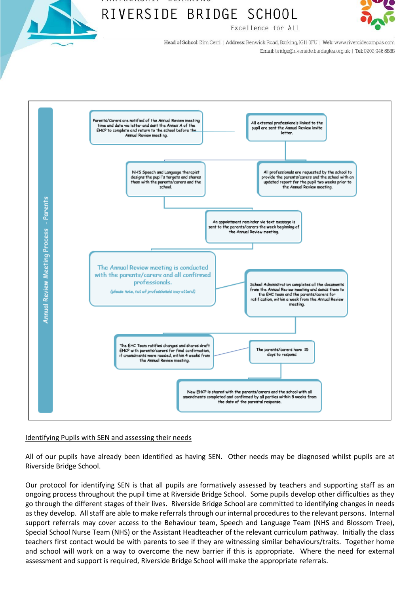

# RIVERSIDE BRIDGE SCHOOL



Head of School: Kim Cerri | Address: Renwick Road, Barking, IGII 0FU | Web: www.riversidecampus.com Email: bridge@riverside.bardaglea.org.uk | Tel: 0203 946 5888

Excellence for All



### Identifying Pupils with SEN and assessing their needs

All of our pupils have already been identified as having SEN. Other needs may be diagnosed whilst pupils are at Riverside Bridge School.

Our protocol for identifying SEN is that all pupils are formatively assessed by teachers and supporting staff as an ongoing process throughout the pupil time at Riverside Bridge School. Some pupils develop other difficulties as they go through the different stages of their lives. Riverside Bridge School are committed to identifying changes in needs as they develop. All staff are able to make referrals through our internal procedures to the relevant persons. Internal support referrals may cover access to the Behaviour team, Speech and Language Team (NHS and Blossom Tree), Special School Nurse Team (NHS) or the Assistant Headteacher of the relevant curriculum pathway. Initially the class teachers first contact would be with parents to see if they are witnessing similar behaviours/traits. Together home and school will work on a way to overcome the new barrier if this is appropriate. Where the need for external assessment and support is required, Riverside Bridge School will make the appropriate referrals.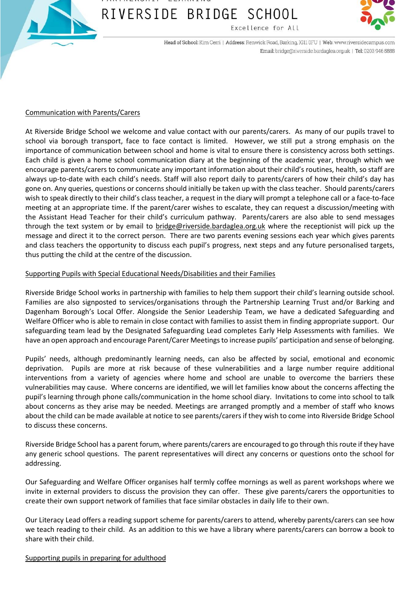



Head of School: Kim Cerri | Address: Renwick Road, Barking, IG11 0FU | Web: www.riversidecampus.com Email: bridge@riverside.bardaglea.org.uk | Tel: 0203 946 5888

#### Communication with Parents/Carers

At Riverside Bridge School we welcome and value contact with our parents/carers. As many of our pupils travel to school via borough transport, face to face contact is limited. However, we still put a strong emphasis on the importance of communication between school and home is vital to ensure there is consistency across both settings. Each child is given a home school communication diary at the beginning of the academic year, through which we encourage parents/carers to communicate any important information about their child's routines, health, so staff are always up-to-date with each child's needs. Staff will also report daily to parents/carers of how their child's day has gone on. Any queries, questions or concerns should initially be taken up with the class teacher. Should parents/carers wish to speak directly to their child's class teacher, a request in the diary will prompt a telephone call or a face-to-face meeting at an appropriate time. If the parent/carer wishes to escalate, they can request a discussion/meeting with the Assistant Head Teacher for their child's curriculum pathway. Parents/carers are also able to send messages through the text system or by email to [bridge@riverside.bardaglea.org.uk](mailto:bridge@riverside.bardaglea.org.uk) where the receptionist will pick up the message and direct it to the correct person. There are two parents evening sessions each year which gives parents and class teachers the opportunity to discuss each pupil's progress, next steps and any future personalised targets, thus putting the child at the centre of the discussion.

### Supporting Pupils with Special Educational Needs/Disabilities and their Families

Riverside Bridge School works in partnership with families to help them support their child's learning outside school. Families are also signposted to services/organisations through the Partnership Learning Trust and/or Barking and Dagenham Borough's Local Offer. Alongside the Senior Leadership Team, we have a dedicated Safeguarding and Welfare Officer who is able to remain in close contact with families to assist them in finding appropriate support. Our safeguarding team lead by the Designated Safeguarding Lead completes Early Help Assessments with families. We have an open approach and encourage Parent/Carer Meetings to increase pupils' participation and sense of belonging.

Pupils' needs, although predominantly learning needs, can also be affected by social, emotional and economic deprivation. Pupils are more at risk because of these vulnerabilities and a large number require additional interventions from a variety of agencies where home and school are unable to overcome the barriers these vulnerabilities may cause. Where concerns are identified, we will let families know about the concerns affecting the pupil's learning through phone calls/communication in the home school diary. Invitations to come into school to talk about concerns as they arise may be needed. Meetings are arranged promptly and a member of staff who knows about the child can be made available at notice to see parents/carers if they wish to come into Riverside Bridge School to discuss these concerns.

Riverside Bridge School has a parent forum, where parents/carers are encouraged to go through this route if they have any generic school questions. The parent representatives will direct any concerns or questions onto the school for addressing.

Our Safeguarding and Welfare Officer organises half termly coffee mornings as well as parent workshops where we invite in external providers to discuss the provision they can offer. These give parents/carers the opportunities to create their own support network of families that face similar obstacles in daily life to their own.

Our Literacy Lead offers a reading support scheme for parents/carers to attend, whereby parents/carers can see how we teach reading to their child. As an addition to this we have a library where parents/carers can borrow a book to share with their child.

### Supporting pupils in preparing for adulthood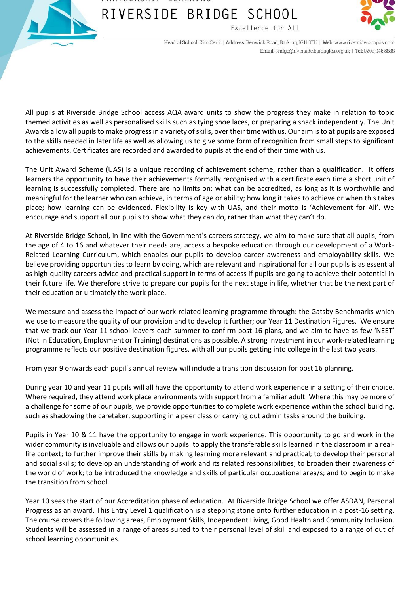



Head of School: Kim Cerri | Address: Renwick Road, Barking, IG11 0FU | Web: www.riversidecampus.com Email: bridge@riverside.bardaglea.org.uk | Tel: 0203 946 5888

All pupils at Riverside Bridge School access AQA award units to show the progress they make in relation to topic themed activities as well as personalised skills such as tying shoe laces, or preparing a snack independently. The Unit Awards allow all pupils to make progress in a variety of skills, over their time with us. Our aim is to at pupils are exposed to the skills needed in later life as well as allowing us to give some form of recognition from small steps to significant achievements. Certificates are recorded and awarded to pupils at the end of their time with us.

The Unit Award Scheme (UAS) is a unique recording of achievement scheme, rather than a qualification. It offers learners the opportunity to have their achievements formally recognised with a certificate each time a short unit of learning is successfully completed. There are no limits on: what can be accredited, as long as it is worthwhile and meaningful for the learner who can achieve, in terms of age or ability; how long it takes to achieve or when this takes place; how learning can be evidenced. Flexibility is key with UAS, and their motto is 'Achievement for All'. We encourage and support all our pupils to show what they can do, rather than what they can't do.

At Riverside Bridge School, in line with the Government's careers strategy, we aim to make sure that all pupils, from the age of 4 to 16 and whatever their needs are, access a bespoke education through our development of a Work-Related Learning Curriculum, which enables our pupils to develop career awareness and employability skills. We believe providing opportunities to learn by doing, which are relevant and inspirational for all our pupils is as essential as high-quality careers advice and practical support in terms of access if pupils are going to achieve their potential in their future life. We therefore strive to prepare our pupils for the next stage in life, whether that be the next part of their education or ultimately the work place.

We measure and assess the impact of our work-related learning programme through: the Gatsby Benchmarks which we use to measure the quality of our provision and to develop it further; our Year 11 Destination Figures. We ensure that we track our Year 11 school leavers each summer to confirm post-16 plans, and we aim to have as few 'NEET' (Not in Education, Employment or Training) destinations as possible. A strong investment in our work-related learning programme reflects our positive destination figures, with all our pupils getting into college in the last two years.

From year 9 onwards each pupil's annual review will include a transition discussion for post 16 planning.

During year 10 and year 11 pupils will all have the opportunity to attend work experience in a setting of their choice. Where required, they attend work place environments with support from a familiar adult. Where this may be more of a challenge for some of our pupils, we provide opportunities to complete work experience within the school building, such as shadowing the caretaker, supporting in a peer class or carrying out admin tasks around the building.

Pupils in Year 10 & 11 have the opportunity to engage in work experience. This opportunity to go and work in the wider community is invaluable and allows our pupils: to apply the transferable skills learned in the classroom in a reallife context; to further improve their skills by making learning more relevant and practical; to develop their personal and social skills; to develop an understanding of work and its related responsibilities; to broaden their awareness of the world of work; to be introduced the knowledge and skills of particular occupational area/s; and to begin to make the transition from school.

Year 10 sees the start of our Accreditation phase of education. At Riverside Bridge School we offer ASDAN, Personal Progress as an award. This Entry Level 1 qualification is a stepping stone onto further education in a post-16 setting. The course covers the following areas, Employment Skills, Independent Living, Good Health and Community Inclusion. Students will be assessed in a range of areas suited to their personal level of skill and exposed to a range of out of school learning opportunities.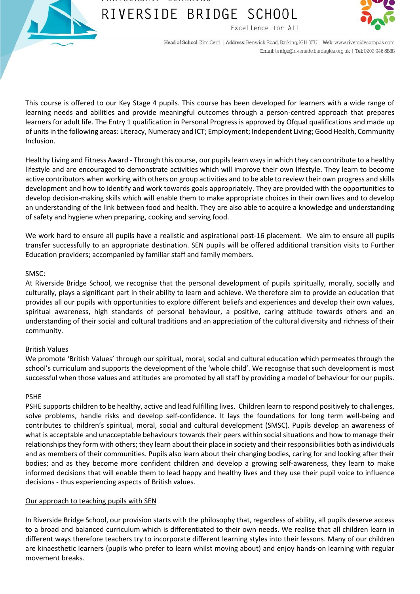



Head of School: Kim Cerri | Address: Renwick Road, Barking, IG11 0FU | Web: www.riversidecampus.com Email: bridge@riverside.bardaglea.org.uk | Tel: 0203 946 5888

This course is offered to our Key Stage 4 pupils. This course has been developed for learners with a wide range of learning needs and abilities and provide meaningful outcomes through a person-centred approach that prepares learners for adult life. The Entry 1 qualification in Personal Progress is approved by Ofqual qualifications and made up of units in the following areas: Literacy, Numeracy and ICT; Employment; Independent Living; Good Health, Community Inclusion.

Healthy Living and Fitness Award - Through this course, our pupils learn ways in which they can contribute to a healthy lifestyle and are encouraged to demonstrate activities which will improve their own lifestyle. They learn to become active contributors when working with others on group activities and to be able to review their own progress and skills development and how to identify and work towards goals appropriately. They are provided with the opportunities to develop decision-making skills which will enable them to make appropriate choices in their own lives and to develop an understanding of the link between food and health. They are also able to acquire a knowledge and understanding of safety and hygiene when preparing, cooking and serving food.

We work hard to ensure all pupils have a realistic and aspirational post-16 placement. We aim to ensure all pupils transfer successfully to an appropriate destination. SEN pupils will be offered additional transition visits to Further Education providers; accompanied by familiar staff and family members.

### SMSC:

At Riverside Bridge School, we recognise that the personal development of pupils spiritually, morally, socially and culturally, plays a significant part in their ability to learn and achieve. We therefore aim to provide an education that provides all our pupils with opportunities to explore different beliefs and experiences and develop their own values, spiritual awareness, high standards of personal behaviour, a positive, caring attitude towards others and an understanding of their social and cultural traditions and an appreciation of the cultural diversity and richness of their community.

### British Values

We promote 'British Values' through our spiritual, moral, social and cultural education which permeates through the school's curriculum and supports the development of the 'whole child'. We recognise that such development is most successful when those values and attitudes are promoted by all staff by providing a model of behaviour for our pupils.

### PSHE

PSHE supports children to be healthy, active and lead fulfilling lives. Children learn to respond positively to challenges, solve problems, handle risks and develop self-confidence. It lays the foundations for long term well-being and contributes to children's spiritual, moral, social and cultural development (SMSC). Pupils develop an awareness of what is acceptable and unacceptable behaviours towards their peers within social situations and how to manage their relationships they form with others; they learn about their place in society and their responsibilities both as individuals and as members of their communities. Pupils also learn about their changing bodies, caring for and looking after their bodies; and as they become more confident children and develop a growing self-awareness, they learn to make informed decisions that will enable them to lead happy and healthy lives and they use their pupil voice to influence decisions - thus experiencing aspects of British values.

### Our approach to teaching pupils with SEN

In Riverside Bridge School, our provision starts with the philosophy that, regardless of ability, all pupils deserve access to a broad and balanced curriculum which is differentiated to their own needs. We realise that all children learn in different ways therefore teachers try to incorporate different learning styles into their lessons. Many of our children are kinaesthetic learners (pupils who prefer to learn whilst moving about) and enjoy hands-on learning with regular movement breaks.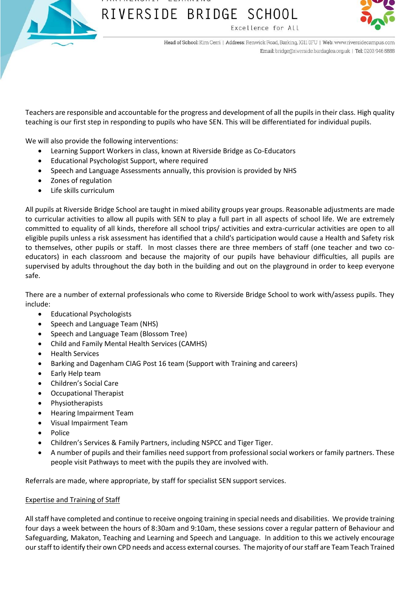



Head of School: Kim Cerri | Address: Renwick Road, Barking, IG11 0FU | Web: www.riversidecampus.com Email: bridge@riverside.bardaglea.org.uk | Tel: 0203 946 5888

Teachers are responsible and accountable for the progress and development of all the pupils in their class. High quality teaching is our first step in responding to pupils who have SEN. This will be differentiated for individual pupils.

We will also provide the following interventions:

- Learning Support Workers in class, known at Riverside Bridge as Co-Educators
- Educational Psychologist Support, where required
- Speech and Language Assessments annually, this provision is provided by NHS
- Zones of regulation
- Life skills curriculum

All pupils at Riverside Bridge School are taught in mixed ability groups year groups. Reasonable adjustments are made to curricular activities to allow all pupils with SEN to play a full part in all aspects of school life. We are extremely committed to equality of all kinds, therefore all school trips/ activities and extra-curricular activities are open to all eligible pupils unless a risk assessment has identified that a child's participation would cause a Health and Safety risk to themselves, other pupils or staff. In most classes there are three members of staff (one teacher and two coeducators) in each classroom and because the majority of our pupils have behaviour difficulties, all pupils are supervised by adults throughout the day both in the building and out on the playground in order to keep everyone safe.

There are a number of external professionals who come to Riverside Bridge School to work with/assess pupils. They include:

- Educational Psychologists
- Speech and Language Team (NHS)
- Speech and Language Team (Blossom Tree)
- Child and Family Mental Health Services (CAMHS)
- Health Services
- Barking and Dagenham CIAG Post 16 team (Support with Training and careers)
- Early Help team
- Children's Social Care
- Occupational Therapist
- Physiotherapists
- Hearing Impairment Team
- Visual Impairment Team
- Police
- Children's Services & Family Partners, including NSPCC and Tiger Tiger.
- A number of pupils and their families need support from professional social workers or family partners. These people visit Pathways to meet with the pupils they are involved with.

Referrals are made, where appropriate, by staff for specialist SEN support services.

### Expertise and Training of Staff

All staff have completed and continue to receive ongoing training in special needs and disabilities. We provide training four days a week between the hours of 8:30am and 9:10am, these sessions cover a regular pattern of Behaviour and Safeguarding, Makaton, Teaching and Learning and Speech and Language. In addition to this we actively encourage our staff to identify their own CPD needs and access external courses. The majority of our staff are Team Teach Trained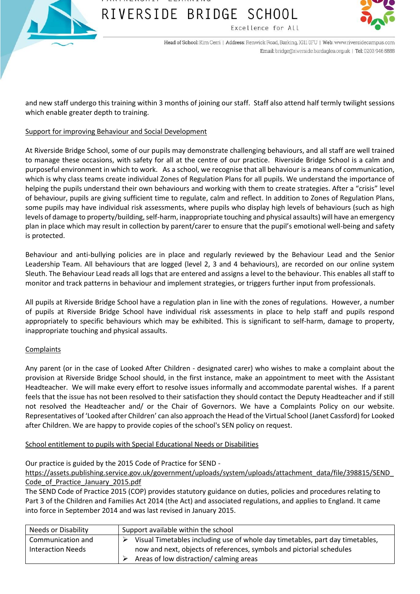



Head of School: Kim Cerri | Address: Renwick Road, Barking, IG11 0FU | Web: www.riversidecampus.com Email: bridge@riverside.bardaglea.org.uk | Tel: 0203 946 5888

and new staff undergo this training within 3 months of joining our staff. Staff also attend half termly twilight sessions which enable greater depth to training.

### Support for improving Behaviour and Social Development

At Riverside Bridge School, some of our pupils may demonstrate challenging behaviours, and all staff are well trained to manage these occasions, with safety for all at the centre of our practice. Riverside Bridge School is a calm and purposeful environment in which to work. As a school, we recognise that all behaviour is a means of communication, which is why class teams create individual Zones of Regulation Plans for all pupils. We understand the importance of helping the pupils understand their own behaviours and working with them to create strategies. After a "crisis" level of behaviour, pupils are giving sufficient time to regulate, calm and reflect. In addition to Zones of Regulation Plans, some pupils may have individual risk assessments, where pupils who display high levels of behaviours (such as high levels of damage to property/building, self-harm, inappropriate touching and physical assaults) will have an emergency plan in place which may result in collection by parent/carer to ensure that the pupil's emotional well-being and safety is protected.

Behaviour and anti-bullying policies are in place and regularly reviewed by the Behaviour Lead and the Senior Leadership Team. All behaviours that are logged (level 2, 3 and 4 behaviours), are recorded on our online system Sleuth. The Behaviour Lead reads all logs that are entered and assigns a level to the behaviour. This enables all staff to monitor and track patterns in behaviour and implement strategies, or triggers further input from professionals.

All pupils at Riverside Bridge School have a regulation plan in line with the zones of regulations. However, a number of pupils at Riverside Bridge School have individual risk assessments in place to help staff and pupils respond appropriately to specific behaviours which may be exhibited. This is significant to self-harm, damage to property, inappropriate touching and physical assaults.

### **Complaints**

Any parent (or in the case of Looked After Children - designated carer) who wishes to make a complaint about the provision at Riverside Bridge School should, in the first instance, make an appointment to meet with the Assistant Headteacher. We will make every effort to resolve issues informally and accommodate parental wishes. If a parent feels that the issue has not been resolved to their satisfaction they should contact the Deputy Headteacher and if still not resolved the Headteacher and/ or the Chair of Governors. We have a Complaints Policy on our website. Representatives of 'Looked after Children' can also approach the Head of the Virtual School (Janet Cassford) for Looked after Children. We are happy to provide copies of the school's SEN policy on request.

School entitlement to pupils with Special Educational Needs or Disabilities

Our practice is guided by the 2015 Code of Practice for SEND -

[https://assets.publishing.service.gov.uk/government/uploads/system/uploads/attachment\\_data/file/398815/SEND\\_](https://assets.publishing.service.gov.uk/government/uploads/system/uploads/attachment_data/file/398815/SEND_Code_of_Practice_January_2015.pdf) [Code\\_of\\_Practice\\_January\\_2015.pdf](https://assets.publishing.service.gov.uk/government/uploads/system/uploads/attachment_data/file/398815/SEND_Code_of_Practice_January_2015.pdf)

The SEND Code of Practice 2015 (COP) provides statutory guidance on duties, policies and procedures relating to Part 3 of the Children and Families Act 2014 (the Act) and associated regulations, and applies to England. It came into force in September 2014 and was last revised in January 2015.

| Needs or Disability | Support available within the school                                           |  |
|---------------------|-------------------------------------------------------------------------------|--|
| Communication and   | Visual Timetables including use of whole day timetables, part day timetables, |  |
| Interaction Needs   | now and next, objects of references, symbols and pictorial schedules          |  |
|                     | Areas of low distraction/ calming areas                                       |  |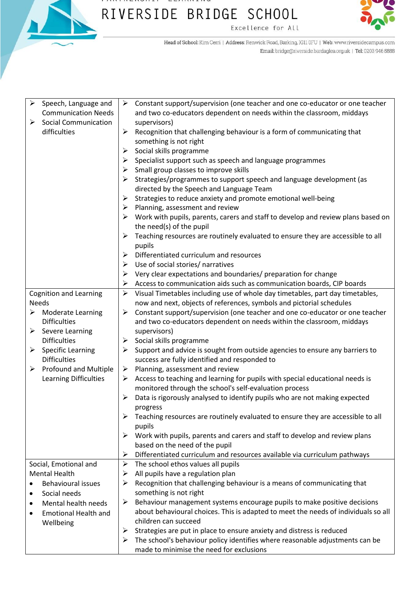

#### $1.11111111111011211$  $-$ RIVERSIDE BRIDGE SCHOOL Excellence for All



Head of School: Kim Cerri | Address: Renwick Road, Barking, IG11 0FU | Web: www.riversidecampus.com Email: bridge@riverside.bardaglea.org.uk | Tel: 0203 946 5888

| $\blacktriangleright$<br>Speech, Language and | Constant support/supervision (one teacher and one co-educator or one teacher<br>➤                                 |
|-----------------------------------------------|-------------------------------------------------------------------------------------------------------------------|
| <b>Communication Needs</b>                    | and two co-educators dependent on needs within the classroom, middays                                             |
| <b>Social Communication</b><br>➤              | supervisors)                                                                                                      |
| difficulties                                  | Recognition that challenging behaviour is a form of communicating that<br>➤                                       |
|                                               | something is not right                                                                                            |
|                                               | Social skills programme<br>➤                                                                                      |
|                                               | Specialist support such as speech and language programmes<br>➤                                                    |
|                                               | Small group classes to improve skills<br>➤                                                                        |
|                                               | Strategies/programmes to support speech and language development (as<br>➤                                         |
|                                               | directed by the Speech and Language Team                                                                          |
|                                               | Strategies to reduce anxiety and promote emotional well-being<br>$\blacktriangleright$                            |
|                                               | Planning, assessment and review<br>➤                                                                              |
|                                               | Work with pupils, parents, carers and staff to develop and review plans based on<br>➤<br>the need(s) of the pupil |
|                                               | Teaching resources are routinely evaluated to ensure they are accessible to all<br>➤                              |
|                                               | pupils                                                                                                            |
|                                               | Differentiated curriculum and resources<br>$\blacktriangleright$                                                  |
|                                               | Use of social stories/ narratives<br>➤                                                                            |
|                                               | Very clear expectations and boundaries/ preparation for change<br>➤                                               |
|                                               | Access to communication aids such as communication boards, CIP boards<br>➤                                        |
| <b>Cognition and Learning</b>                 | $\blacktriangleright$<br>Visual Timetables including use of whole day timetables, part day timetables,            |
| <b>Needs</b>                                  | now and next, objects of references, symbols and pictorial schedules                                              |
| <b>Moderate Learning</b><br>➤                 | Constant support/supervision (one teacher and one co-educator or one teacher<br>➤                                 |
| <b>Difficulties</b>                           | and two co-educators dependent on needs within the classroom, middays                                             |
| $\triangleright$ Severe Learning              | supervisors)                                                                                                      |
| <b>Difficulties</b>                           | Social skills programme<br>➤                                                                                      |
| <b>Specific Learning</b><br>➤                 | Support and advice is sought from outside agencies to ensure any barriers to<br>➤                                 |
| <b>Difficulties</b>                           | success are fully identified and responded to                                                                     |
| $\triangleright$ Profound and Multiple        | Planning, assessment and review<br>➤                                                                              |
| Learning Difficulties                         | Access to teaching and learning for pupils with special educational needs is<br>➤                                 |
|                                               | monitored through the school's self-evaluation process                                                            |
|                                               | Data is rigorously analysed to identify pupils who are not making expected<br>➤<br>progress                       |
|                                               | $\triangleright$ Teaching resources are routinely evaluated to ensure they are accessible to all                  |
|                                               | pupils                                                                                                            |
|                                               | Work with pupils, parents and carers and staff to develop and review plans<br>➤                                   |
|                                               | based on the need of the pupil                                                                                    |
|                                               | $\blacktriangleright$<br>Differentiated curriculum and resources available via curriculum pathways                |
| Social, Emotional and                         | The school ethos values all pupils<br>$\blacktriangleright$                                                       |
| <b>Mental Health</b>                          | All pupils have a regulation plan<br>➤                                                                            |
| <b>Behavioural issues</b><br>$\bullet$        | Recognition that challenging behaviour is a means of communicating that<br>➤                                      |
| Social needs<br>٠                             | something is not right                                                                                            |
| Mental health needs<br>٠                      | Behaviour management systems encourage pupils to make positive decisions<br>➤                                     |
| <b>Emotional Health and</b><br>$\bullet$      | about behavioural choices. This is adapted to meet the needs of individuals so all                                |
| Wellbeing                                     | children can succeed                                                                                              |
|                                               | ➤<br>Strategies are put in place to ensure anxiety and distress is reduced                                        |
|                                               | The school's behaviour policy identifies where reasonable adjustments can be<br>➤                                 |
|                                               | made to minimise the need for exclusions                                                                          |
|                                               |                                                                                                                   |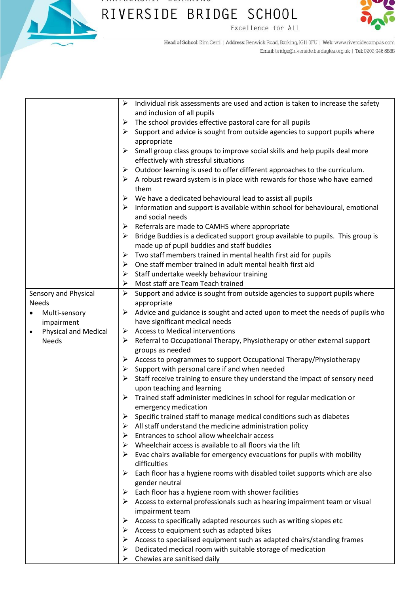

#### $1.111111111110111111$  $-$ RIVERSIDE BRIDGE SCHOOL Excellence for All



Head of School: Kim Cerri | Address: Renwick Road, Barking, IG11 0FU | Web: www.riversidecampus.com Email: bridge@riverside.bardaglea.org.uk | Tel: 0203 946 5888

|           |                             | $\blacktriangleright$ | Individual risk assessments are used and action is taken to increase the safety                                              |
|-----------|-----------------------------|-----------------------|------------------------------------------------------------------------------------------------------------------------------|
|           |                             |                       | and inclusion of all pupils                                                                                                  |
|           |                             | ➤                     | The school provides effective pastoral care for all pupils                                                                   |
|           |                             | ➤                     | Support and advice is sought from outside agencies to support pupils where<br>appropriate                                    |
|           |                             | ➤                     | Small group class groups to improve social skills and help pupils deal more                                                  |
|           |                             |                       | effectively with stressful situations                                                                                        |
|           |                             | ➤                     | Outdoor learning is used to offer different approaches to the curriculum.                                                    |
|           |                             |                       | $\triangleright$ A robust reward system is in place with rewards for those who have earned<br>them                           |
|           |                             | ➤                     | We have a dedicated behavioural lead to assist all pupils                                                                    |
|           |                             | ➤                     | Information and support is available within school for behavioural, emotional                                                |
|           |                             |                       | and social needs                                                                                                             |
|           |                             | ➤                     | Referrals are made to CAMHS where appropriate                                                                                |
|           |                             | ➤                     | Bridge Buddies is a dedicated support group available to pupils. This group is<br>made up of pupil buddies and staff buddies |
|           |                             | ➤                     | Two staff members trained in mental health first aid for pupils                                                              |
|           |                             | ➤                     | One staff member trained in adult mental health first aid                                                                    |
|           |                             | ➤                     | Staff undertake weekly behaviour training                                                                                    |
|           |                             | ➤                     | Most staff are Team Teach trained                                                                                            |
|           | Sensory and Physical        |                       | $\triangleright$ Support and advice is sought from outside agencies to support pupils where                                  |
|           | <b>Needs</b>                |                       | appropriate                                                                                                                  |
| ٠         | Multi-sensory               | ➤                     | Advice and guidance is sought and acted upon to meet the needs of pupils who                                                 |
|           | impairment                  |                       | have significant medical needs                                                                                               |
| $\bullet$ | <b>Physical and Medical</b> | ➤                     | <b>Access to Medical interventions</b>                                                                                       |
|           | <b>Needs</b>                | ➤                     | Referral to Occupational Therapy, Physiotherapy or other external support                                                    |
|           |                             |                       | groups as needed                                                                                                             |
|           |                             | ➤                     | Access to programmes to support Occupational Therapy/Physiotherapy                                                           |
|           |                             | ➤                     | Support with personal care if and when needed                                                                                |
|           |                             |                       | $\triangleright$ Staff receive training to ensure they understand the impact of sensory need<br>upon teaching and learning   |
|           |                             | ➤                     | Trained staff administer medicines in school for regular medication or                                                       |
|           |                             |                       | emergency medication                                                                                                         |
|           |                             |                       | Specific trained staff to manage medical conditions such as diabetes                                                         |
|           |                             | ➤                     | All staff understand the medicine administration policy                                                                      |
|           |                             | ≻                     | Entrances to school allow wheelchair access                                                                                  |
|           |                             | ➤                     | Wheelchair access is available to all floors via the lift                                                                    |
|           |                             |                       | $\triangleright$ Evac chairs available for emergency evacuations for pupils with mobility<br>difficulties                    |
|           |                             | ➤                     | Each floor has a hygiene rooms with disabled toilet supports which are also                                                  |
|           |                             |                       | gender neutral                                                                                                               |
|           |                             |                       | $\triangleright$ Each floor has a hygiene room with shower facilities                                                        |
|           |                             |                       | $\triangleright$ Access to external professionals such as hearing impairment team or visual                                  |
|           |                             |                       | impairment team                                                                                                              |
|           |                             | ➤                     | Access to specifically adapted resources such as writing slopes etc                                                          |
|           |                             |                       | $\triangleright$ Access to equipment such as adapted bikes                                                                   |
|           |                             | ➤                     | Access to specialised equipment such as adapted chairs/standing frames                                                       |
|           |                             | ➤                     | Dedicated medical room with suitable storage of medication                                                                   |
|           |                             | ➤                     | Chewies are sanitised daily                                                                                                  |